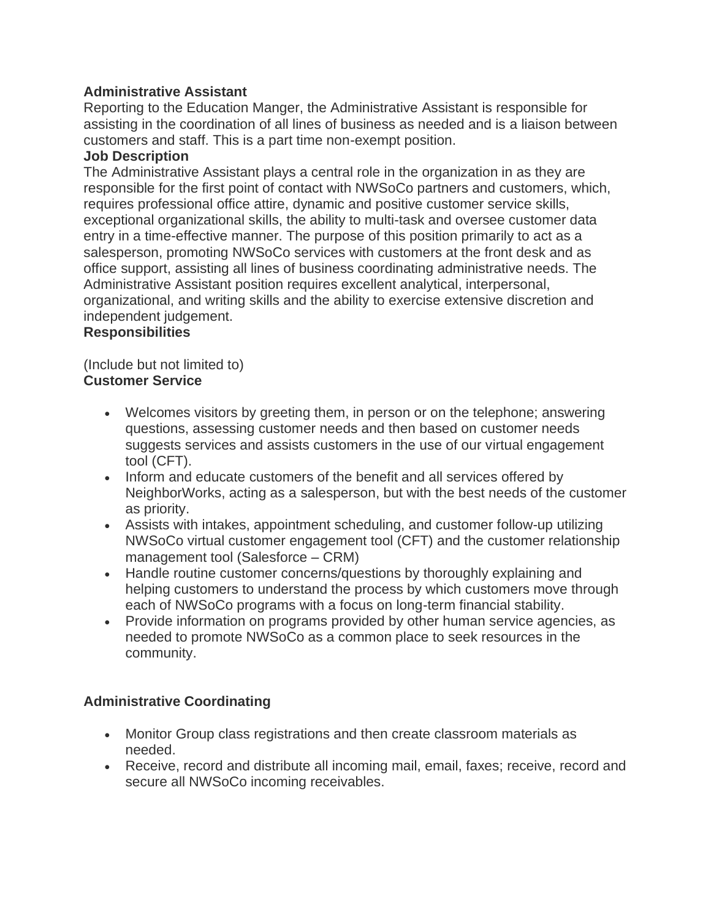# **Administrative Assistant**

Reporting to the Education Manger, the Administrative Assistant is responsible for assisting in the coordination of all lines of business as needed and is a liaison between customers and staff. This is a part time non-exempt position.

### **Job Description**

The Administrative Assistant plays a central role in the organization in as they are responsible for the first point of contact with NWSoCo partners and customers, which, requires professional office attire, dynamic and positive customer service skills, exceptional organizational skills, the ability to multi-task and oversee customer data entry in a time-effective manner. The purpose of this position primarily to act as a salesperson, promoting NWSoCo services with customers at the front desk and as office support, assisting all lines of business coordinating administrative needs. The Administrative Assistant position requires excellent analytical, interpersonal, organizational, and writing skills and the ability to exercise extensive discretion and independent judgement.

## **Responsibilities**

(Include but not limited to) **Customer Service**

- Welcomes visitors by greeting them, in person or on the telephone; answering questions, assessing customer needs and then based on customer needs suggests services and assists customers in the use of our virtual engagement tool (CFT).
- Inform and educate customers of the benefit and all services offered by NeighborWorks, acting as a salesperson, but with the best needs of the customer as priority.
- Assists with intakes, appointment scheduling, and customer follow-up utilizing NWSoCo virtual customer engagement tool (CFT) and the customer relationship management tool (Salesforce – CRM)
- Handle routine customer concerns/questions by thoroughly explaining and helping customers to understand the process by which customers move through each of NWSoCo programs with a focus on long-term financial stability.
- Provide information on programs provided by other human service agencies, as needed to promote NWSoCo as a common place to seek resources in the community.

# **Administrative Coordinating**

- Monitor Group class registrations and then create classroom materials as needed.
- Receive, record and distribute all incoming mail, email, faxes; receive, record and secure all NWSoCo incoming receivables.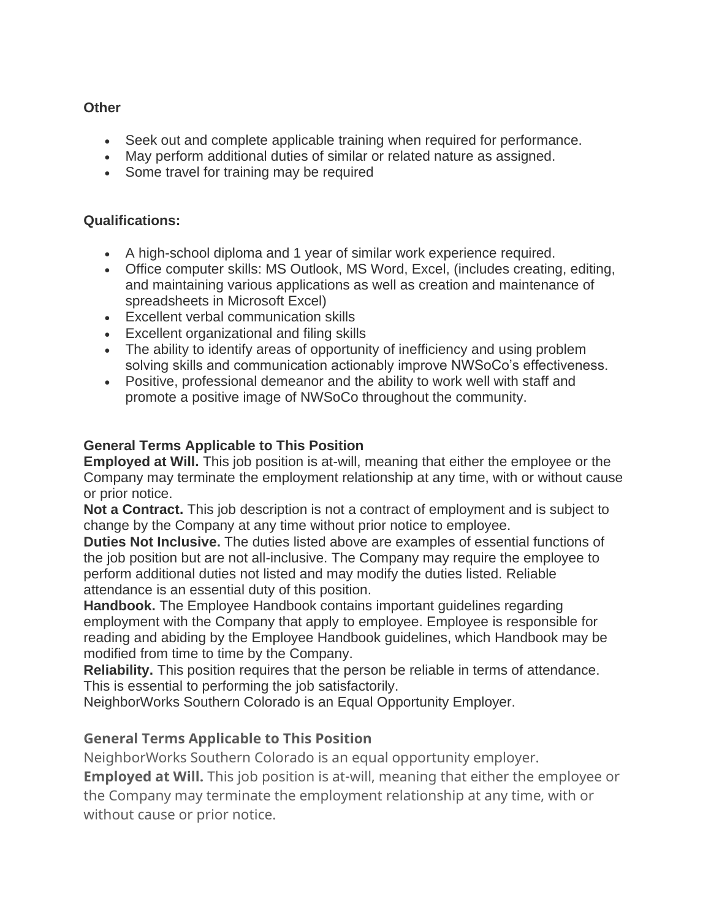#### **Other**

- Seek out and complete applicable training when required for performance.
- May perform additional duties of similar or related nature as assigned.
- Some travel for training may be required

### **Qualifications:**

- A high-school diploma and 1 year of similar work experience required.
- Office computer skills: MS Outlook, MS Word, Excel, (includes creating, editing, and maintaining various applications as well as creation and maintenance of spreadsheets in Microsoft Excel)
- Excellent verbal communication skills
- Excellent organizational and filing skills
- The ability to identify areas of opportunity of inefficiency and using problem solving skills and communication actionably improve NWSoCo's effectiveness.
- Positive, professional demeanor and the ability to work well with staff and promote a positive image of NWSoCo throughout the community.

## **General Terms Applicable to This Position**

**Employed at Will.** This job position is at-will, meaning that either the employee or the Company may terminate the employment relationship at any time, with or without cause or prior notice.

**Not a Contract.** This job description is not a contract of employment and is subject to change by the Company at any time without prior notice to employee.

**Duties Not Inclusive.** The duties listed above are examples of essential functions of the job position but are not all-inclusive. The Company may require the employee to perform additional duties not listed and may modify the duties listed. Reliable attendance is an essential duty of this position.

**Handbook.** The Employee Handbook contains important guidelines regarding employment with the Company that apply to employee. Employee is responsible for reading and abiding by the Employee Handbook guidelines, which Handbook may be modified from time to time by the Company.

**Reliability.** This position requires that the person be reliable in terms of attendance. This is essential to performing the job satisfactorily.

NeighborWorks Southern Colorado is an Equal Opportunity Employer.

# **General Terms Applicable to This Position**

NeighborWorks Southern Colorado is an equal opportunity employer.

**Employed at Will.** This job position is at-will, meaning that either the employee or the Company may terminate the employment relationship at any time, with or without cause or prior notice.